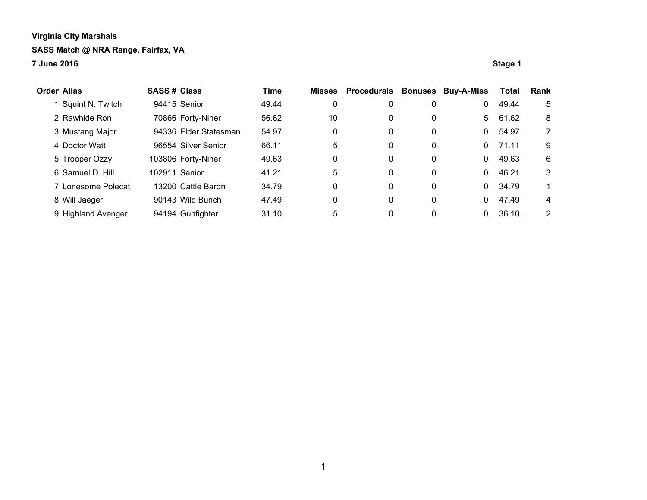**7 June 2016 Stage 1**

**Order Alias SASS # Class Time Misses Procedurals Bonuses Buy-A-Miss Total Rank** 1 Squint N. Twitch 94415 Senior 49.44 0 0 0 0 0 49.44 5 2 Rawhide Ron 70866 Forty-Niner 56.62 10 0 0 5 61.62 8 3 Mustang Major 94336 Elder Statesman 54.97 0 0 0 0 54.97 7 4 Doctor Watt  $96554$  Silver Senior  $66.11$  5 0 0 0 71.11 9 5 Trooper Ozzy 103806 Forty-Niner 49.63 0 0 0 0 49.63 6 6 Samuel D. Hill 102911 Senior 41.21 5 0 0 0 46.21 3 7 Lonesome Polecat 13200 Cattle Baron 34.79 0 0 0 0 0 34.79 1 8 Will Jaeger 90143 Wild Bunch 47.49 0 0 0 0 47.49 4 9 Highland Avenger 94194 Gunfighter 31.10 5 0 0 0 36.10 2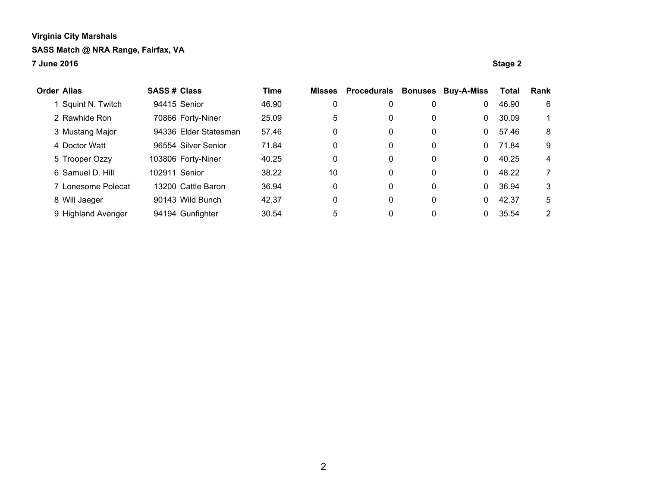#### **7 June 2016 Stage 2**

| Order Alias        | <b>SASS# Class</b> |                       | <b>Time</b> | <b>Misses</b> | <b>Procedurals</b> | <b>Bonuses</b> | <b>Buy-A-Miss</b> | <b>Total</b> | Rank |
|--------------------|--------------------|-----------------------|-------------|---------------|--------------------|----------------|-------------------|--------------|------|
| Squint N. Twitch   |                    | 94415 Senior          | 46.90       | 0             | 0                  | 0              | 0                 | 46.90        | 6    |
| 2 Rawhide Ron      |                    | 70866 Forty-Niner     | 25.09       | 5             | 0                  | 0              | 0                 | 30.09        |      |
| 3 Mustang Major    |                    | 94336 Elder Statesman | 57.46       | 0             | 0                  | 0              | 0                 | 57.46        | 8    |
| 4 Doctor Watt      |                    | 96554 Silver Senior   | 71.84       | 0             | 0                  | 0              | 0                 | 71.84        | 9    |
| 5 Trooper Ozzy     |                    | 103806 Forty-Niner    | 40.25       | 0             | 0                  | 0              | 0                 | 40.25        | 4    |
| 6 Samuel D. Hill   | 102911 Senior      |                       | 38.22       | 10            | 0                  | 0              | 0                 | 48.22        | 7    |
| 7 Lonesome Polecat |                    | 13200 Cattle Baron    | 36.94       | 0             | 0                  | 0              | 0                 | 36.94        | 3    |
| 8 Will Jaeger      |                    | 90143 Wild Bunch      | 42.37       | 0             | 0                  | 0              | 0                 | 42.37        | 5    |
| 9 Highland Avenger |                    | 94194 Gunfighter      | 30.54       | 5             | 0                  | 0              |                   | 35.54        | 2    |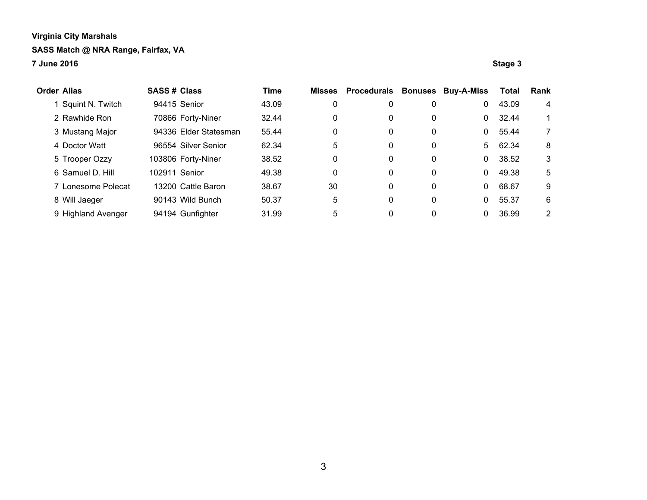**7 June 2016 Stage 3**

| Order Alias        | <b>SASS# Class</b> |                       | <b>Time</b> | <b>Misses</b> | <b>Procedurals</b> | <b>Bonuses</b> | <b>Buy-A-Miss</b> | <b>Total</b> | Rank |
|--------------------|--------------------|-----------------------|-------------|---------------|--------------------|----------------|-------------------|--------------|------|
| Squint N. Twitch   |                    | 94415 Senior          | 43.09       | 0             | 0                  | 0              | 0                 | 43.09        | 4    |
| 2 Rawhide Ron      |                    | 70866 Forty-Niner     | 32.44       | 0             | 0                  | 0              | 0                 | 32.44        |      |
| 3 Mustang Major    |                    | 94336 Elder Statesman | 55.44       | 0             | 0                  | 0              | 0                 | 55.44        | 7    |
| 4 Doctor Watt      |                    | 96554 Silver Senior   | 62.34       | 5             | 0                  | 0              | 5                 | 62.34        | 8    |
| 5 Trooper Ozzy     |                    | 103806 Forty-Niner    | 38.52       | 0             | 0                  | 0              | 0                 | 38.52        | 3    |
| 6 Samuel D. Hill   | 102911 Senior      |                       | 49.38       | $\Omega$      | 0                  | 0              | 0                 | 49.38        | 5    |
| 7 Lonesome Polecat |                    | 13200 Cattle Baron    | 38.67       | 30            | 0                  | 0              | 0                 | 68.67        | 9    |
| 8 Will Jaeger      |                    | 90143 Wild Bunch      | 50.37       | 5             | 0                  | 0              | 0                 | 55.37        | 6    |
| 9 Highland Avenger |                    | 94194 Gunfighter      | 31.99       | 5             | 0                  | 0              |                   | 36.99        | 2    |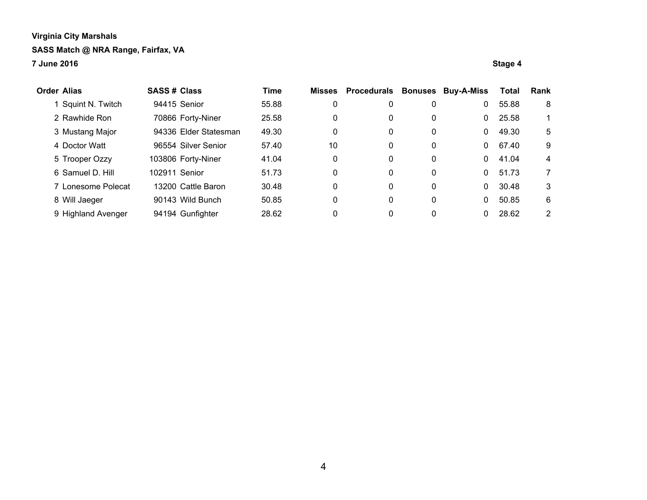#### **7 June 2016 Stage 4**

| Order Alias        | <b>SASS# Class</b> |                       | <b>Time</b> | <b>Misses</b> | <b>Procedurals</b> | <b>Bonuses</b> | <b>Buy-A-Miss</b> | <b>Total</b> | Rank |
|--------------------|--------------------|-----------------------|-------------|---------------|--------------------|----------------|-------------------|--------------|------|
| Squint N. Twitch   |                    | 94415 Senior          | 55.88       | 0             | 0                  | 0              | 0                 | 55.88        | 8    |
| 2 Rawhide Ron      |                    | 70866 Forty-Niner     | 25.58       | 0             | 0                  | 0              | 0                 | 25.58        |      |
| 3 Mustang Major    |                    | 94336 Elder Statesman | 49.30       | 0             | 0                  | 0              | 0                 | 49.30        | 5    |
| 4 Doctor Watt      |                    | 96554 Silver Senior   | 57.40       | 10            | 0                  | 0              | 0                 | 67.40        | 9    |
| 5 Trooper Ozzy     |                    | 103806 Forty-Niner    | 41.04       | 0             | 0                  | 0              | 0                 | 41.04        | 4    |
| 6 Samuel D. Hill   | 102911 Senior      |                       | 51.73       | 0             | 0                  | 0              | 0                 | 51.73        | 7    |
| 7 Lonesome Polecat |                    | 13200 Cattle Baron    | 30.48       | 0             | 0                  | 0              | 0                 | 30.48        | 3    |
| 8 Will Jaeger      |                    | 90143 Wild Bunch      | 50.85       | 0             | 0                  | 0              | 0                 | 50.85        | 6    |
| 9 Highland Avenger |                    | 94194 Gunfighter      | 28.62       | 0             | 0                  | 0              |                   | 28.62        | 2    |